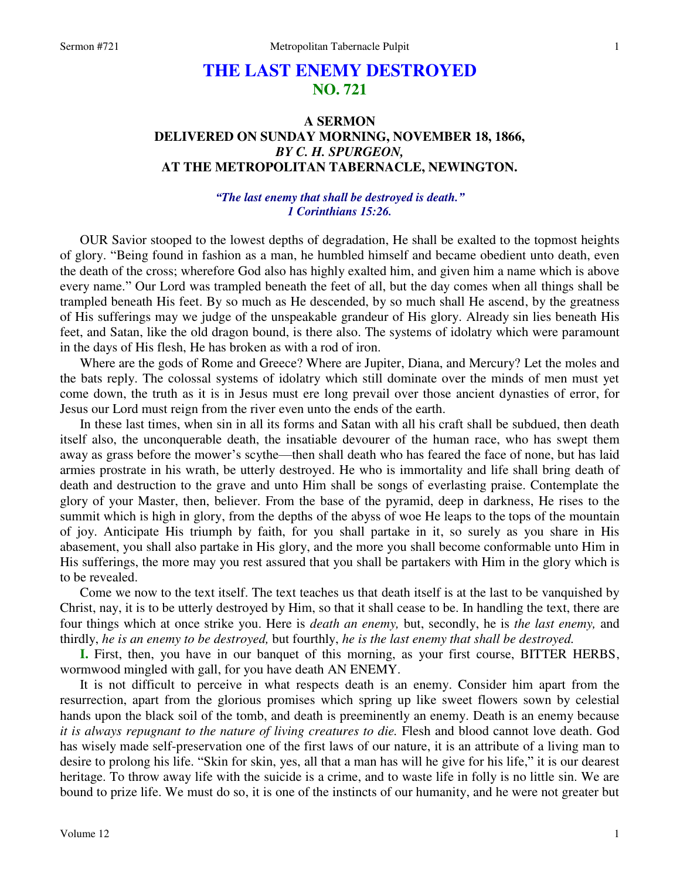# **THE LAST ENEMY DESTROYED NO. 721**

## **A SERMON DELIVERED ON SUNDAY MORNING, NOVEMBER 18, 1866,**  *BY C. H. SPURGEON,*  **AT THE METROPOLITAN TABERNACLE, NEWINGTON.**

## *"The last enemy that shall be destroyed is death." 1 Corinthians 15:26.*

OUR Savior stooped to the lowest depths of degradation, He shall be exalted to the topmost heights of glory. "Being found in fashion as a man, he humbled himself and became obedient unto death, even the death of the cross; wherefore God also has highly exalted him, and given him a name which is above every name." Our Lord was trampled beneath the feet of all, but the day comes when all things shall be trampled beneath His feet. By so much as He descended, by so much shall He ascend, by the greatness of His sufferings may we judge of the unspeakable grandeur of His glory. Already sin lies beneath His feet, and Satan, like the old dragon bound, is there also. The systems of idolatry which were paramount in the days of His flesh, He has broken as with a rod of iron.

Where are the gods of Rome and Greece? Where are Jupiter, Diana, and Mercury? Let the moles and the bats reply. The colossal systems of idolatry which still dominate over the minds of men must yet come down, the truth as it is in Jesus must ere long prevail over those ancient dynasties of error, for Jesus our Lord must reign from the river even unto the ends of the earth.

In these last times, when sin in all its forms and Satan with all his craft shall be subdued, then death itself also, the unconquerable death, the insatiable devourer of the human race, who has swept them away as grass before the mower's scythe—then shall death who has feared the face of none, but has laid armies prostrate in his wrath, be utterly destroyed. He who is immortality and life shall bring death of death and destruction to the grave and unto Him shall be songs of everlasting praise. Contemplate the glory of your Master, then, believer. From the base of the pyramid, deep in darkness, He rises to the summit which is high in glory, from the depths of the abyss of woe He leaps to the tops of the mountain of joy. Anticipate His triumph by faith, for you shall partake in it, so surely as you share in His abasement, you shall also partake in His glory, and the more you shall become conformable unto Him in His sufferings, the more may you rest assured that you shall be partakers with Him in the glory which is to be revealed.

Come we now to the text itself. The text teaches us that death itself is at the last to be vanquished by Christ, nay, it is to be utterly destroyed by Him, so that it shall cease to be. In handling the text, there are four things which at once strike you. Here is *death an enemy,* but, secondly, he is *the last enemy,* and thirdly, *he is an enemy to be destroyed,* but fourthly, *he is the last enemy that shall be destroyed.* 

**I.** First, then, you have in our banquet of this morning, as your first course, BITTER HERBS, wormwood mingled with gall, for you have death AN ENEMY.

It is not difficult to perceive in what respects death is an enemy. Consider him apart from the resurrection, apart from the glorious promises which spring up like sweet flowers sown by celestial hands upon the black soil of the tomb, and death is preeminently an enemy. Death is an enemy because *it is always repugnant to the nature of living creatures to die.* Flesh and blood cannot love death. God has wisely made self-preservation one of the first laws of our nature, it is an attribute of a living man to desire to prolong his life. "Skin for skin, yes, all that a man has will he give for his life," it is our dearest heritage. To throw away life with the suicide is a crime, and to waste life in folly is no little sin. We are bound to prize life. We must do so, it is one of the instincts of our humanity, and he were not greater but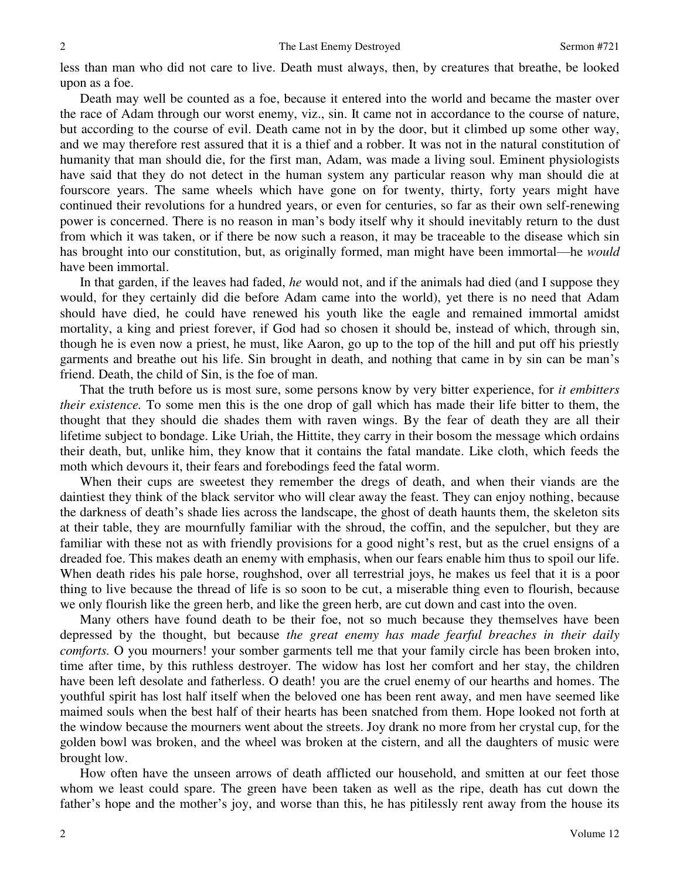less than man who did not care to live. Death must always, then, by creatures that breathe, be looked upon as a foe.

Death may well be counted as a foe, because it entered into the world and became the master over the race of Adam through our worst enemy, viz., sin. It came not in accordance to the course of nature, but according to the course of evil. Death came not in by the door, but it climbed up some other way, and we may therefore rest assured that it is a thief and a robber. It was not in the natural constitution of humanity that man should die, for the first man, Adam, was made a living soul. Eminent physiologists have said that they do not detect in the human system any particular reason why man should die at fourscore years. The same wheels which have gone on for twenty, thirty, forty years might have continued their revolutions for a hundred years, or even for centuries, so far as their own self-renewing power is concerned. There is no reason in man's body itself why it should inevitably return to the dust from which it was taken, or if there be now such a reason, it may be traceable to the disease which sin has brought into our constitution, but, as originally formed, man might have been immortal—he *would* have been immortal.

In that garden, if the leaves had faded, *he* would not, and if the animals had died (and I suppose they would, for they certainly did die before Adam came into the world), yet there is no need that Adam should have died, he could have renewed his youth like the eagle and remained immortal amidst mortality, a king and priest forever, if God had so chosen it should be, instead of which, through sin, though he is even now a priest, he must, like Aaron, go up to the top of the hill and put off his priestly garments and breathe out his life. Sin brought in death, and nothing that came in by sin can be man's friend. Death, the child of Sin, is the foe of man.

That the truth before us is most sure, some persons know by very bitter experience, for *it embitters their existence.* To some men this is the one drop of gall which has made their life bitter to them, the thought that they should die shades them with raven wings. By the fear of death they are all their lifetime subject to bondage. Like Uriah, the Hittite, they carry in their bosom the message which ordains their death, but, unlike him, they know that it contains the fatal mandate. Like cloth, which feeds the moth which devours it, their fears and forebodings feed the fatal worm.

When their cups are sweetest they remember the dregs of death, and when their viands are the daintiest they think of the black servitor who will clear away the feast. They can enjoy nothing, because the darkness of death's shade lies across the landscape, the ghost of death haunts them, the skeleton sits at their table, they are mournfully familiar with the shroud, the coffin, and the sepulcher, but they are familiar with these not as with friendly provisions for a good night's rest, but as the cruel ensigns of a dreaded foe. This makes death an enemy with emphasis, when our fears enable him thus to spoil our life. When death rides his pale horse, roughshod, over all terrestrial joys, he makes us feel that it is a poor thing to live because the thread of life is so soon to be cut, a miserable thing even to flourish, because we only flourish like the green herb, and like the green herb, are cut down and cast into the oven.

Many others have found death to be their foe, not so much because they themselves have been depressed by the thought, but because *the great enemy has made fearful breaches in their daily comforts.* O you mourners! your somber garments tell me that your family circle has been broken into, time after time, by this ruthless destroyer. The widow has lost her comfort and her stay, the children have been left desolate and fatherless. O death! you are the cruel enemy of our hearths and homes. The youthful spirit has lost half itself when the beloved one has been rent away, and men have seemed like maimed souls when the best half of their hearts has been snatched from them. Hope looked not forth at the window because the mourners went about the streets. Joy drank no more from her crystal cup, for the golden bowl was broken, and the wheel was broken at the cistern, and all the daughters of music were brought low.

How often have the unseen arrows of death afflicted our household, and smitten at our feet those whom we least could spare. The green have been taken as well as the ripe, death has cut down the father's hope and the mother's joy, and worse than this, he has pitilessly rent away from the house its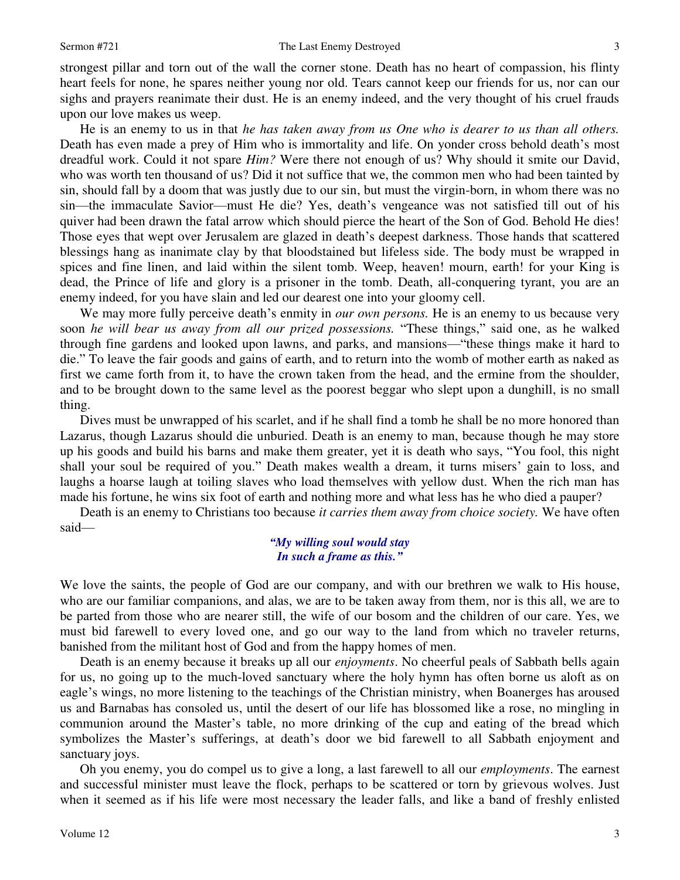#### Sermon #721 The Last Enemy Destroyed

strongest pillar and torn out of the wall the corner stone. Death has no heart of compassion, his flinty heart feels for none, he spares neither young nor old. Tears cannot keep our friends for us, nor can our sighs and prayers reanimate their dust. He is an enemy indeed, and the very thought of his cruel frauds upon our love makes us weep.

He is an enemy to us in that *he has taken away from us One who is dearer to us than all others.* Death has even made a prey of Him who is immortality and life. On yonder cross behold death's most dreadful work. Could it not spare *Him?* Were there not enough of us? Why should it smite our David, who was worth ten thousand of us? Did it not suffice that we, the common men who had been tainted by sin, should fall by a doom that was justly due to our sin, but must the virgin-born, in whom there was no sin—the immaculate Savior—must He die? Yes, death's vengeance was not satisfied till out of his quiver had been drawn the fatal arrow which should pierce the heart of the Son of God. Behold He dies! Those eyes that wept over Jerusalem are glazed in death's deepest darkness. Those hands that scattered blessings hang as inanimate clay by that bloodstained but lifeless side. The body must be wrapped in spices and fine linen, and laid within the silent tomb. Weep, heaven! mourn, earth! for your King is dead, the Prince of life and glory is a prisoner in the tomb. Death, all-conquering tyrant, you are an enemy indeed, for you have slain and led our dearest one into your gloomy cell.

We may more fully perceive death's enmity in *our own persons*. He is an enemy to us because very soon *he will bear us away from all our prized possessions.* "These things," said one, as he walked through fine gardens and looked upon lawns, and parks, and mansions—"these things make it hard to die." To leave the fair goods and gains of earth, and to return into the womb of mother earth as naked as first we came forth from it, to have the crown taken from the head, and the ermine from the shoulder, and to be brought down to the same level as the poorest beggar who slept upon a dunghill, is no small thing.

Dives must be unwrapped of his scarlet, and if he shall find a tomb he shall be no more honored than Lazarus, though Lazarus should die unburied. Death is an enemy to man, because though he may store up his goods and build his barns and make them greater, yet it is death who says, "You fool, this night shall your soul be required of you." Death makes wealth a dream, it turns misers' gain to loss, and laughs a hoarse laugh at toiling slaves who load themselves with yellow dust. When the rich man has made his fortune, he wins six foot of earth and nothing more and what less has he who died a pauper?

Death is an enemy to Christians too because *it carries them away from choice society.* We have often said—

## *"My willing soul would stay In such a frame as this."*

We love the saints, the people of God are our company, and with our brethren we walk to His house, who are our familiar companions, and alas, we are to be taken away from them, nor is this all, we are to be parted from those who are nearer still, the wife of our bosom and the children of our care. Yes, we must bid farewell to every loved one, and go our way to the land from which no traveler returns, banished from the militant host of God and from the happy homes of men.

Death is an enemy because it breaks up all our *enjoyments*. No cheerful peals of Sabbath bells again for us, no going up to the much-loved sanctuary where the holy hymn has often borne us aloft as on eagle's wings, no more listening to the teachings of the Christian ministry, when Boanerges has aroused us and Barnabas has consoled us, until the desert of our life has blossomed like a rose, no mingling in communion around the Master's table, no more drinking of the cup and eating of the bread which symbolizes the Master's sufferings, at death's door we bid farewell to all Sabbath enjoyment and sanctuary joys.

Oh you enemy, you do compel us to give a long, a last farewell to all our *employments*. The earnest and successful minister must leave the flock, perhaps to be scattered or torn by grievous wolves. Just when it seemed as if his life were most necessary the leader falls, and like a band of freshly enlisted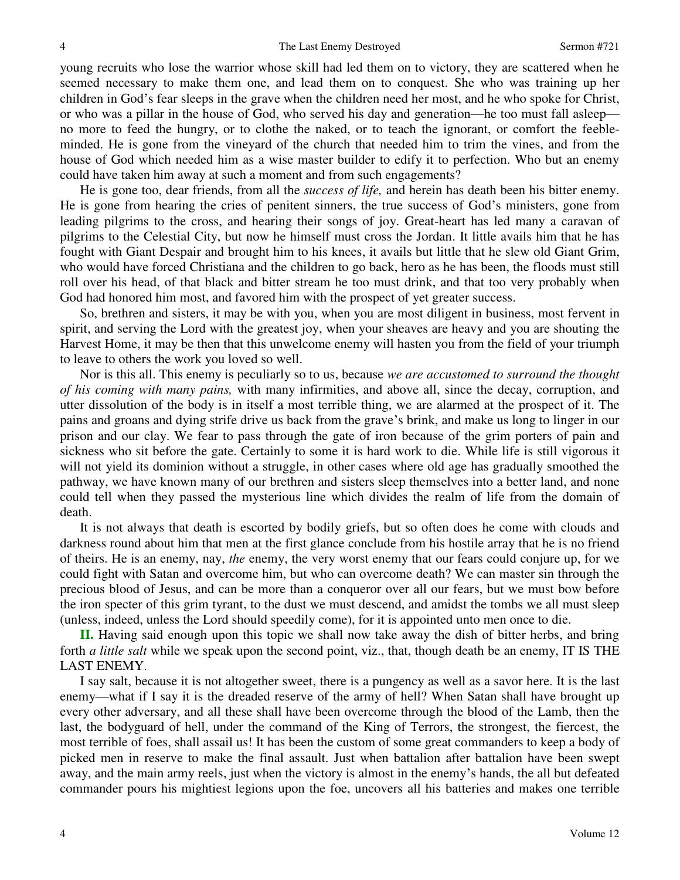young recruits who lose the warrior whose skill had led them on to victory, they are scattered when he seemed necessary to make them one, and lead them on to conquest. She who was training up her children in God's fear sleeps in the grave when the children need her most, and he who spoke for Christ, or who was a pillar in the house of God, who served his day and generation—he too must fall asleep no more to feed the hungry, or to clothe the naked, or to teach the ignorant, or comfort the feebleminded. He is gone from the vineyard of the church that needed him to trim the vines, and from the house of God which needed him as a wise master builder to edify it to perfection. Who but an enemy could have taken him away at such a moment and from such engagements?

He is gone too, dear friends, from all the *success of life,* and herein has death been his bitter enemy. He is gone from hearing the cries of penitent sinners, the true success of God's ministers, gone from leading pilgrims to the cross, and hearing their songs of joy. Great-heart has led many a caravan of pilgrims to the Celestial City, but now he himself must cross the Jordan. It little avails him that he has fought with Giant Despair and brought him to his knees, it avails but little that he slew old Giant Grim, who would have forced Christiana and the children to go back, hero as he has been, the floods must still roll over his head, of that black and bitter stream he too must drink, and that too very probably when God had honored him most, and favored him with the prospect of yet greater success.

So, brethren and sisters, it may be with you, when you are most diligent in business, most fervent in spirit, and serving the Lord with the greatest joy, when your sheaves are heavy and you are shouting the Harvest Home, it may be then that this unwelcome enemy will hasten you from the field of your triumph to leave to others the work you loved so well.

Nor is this all. This enemy is peculiarly so to us, because *we are accustomed to surround the thought of his coming with many pains,* with many infirmities, and above all, since the decay, corruption, and utter dissolution of the body is in itself a most terrible thing, we are alarmed at the prospect of it. The pains and groans and dying strife drive us back from the grave's brink, and make us long to linger in our prison and our clay. We fear to pass through the gate of iron because of the grim porters of pain and sickness who sit before the gate. Certainly to some it is hard work to die. While life is still vigorous it will not yield its dominion without a struggle, in other cases where old age has gradually smoothed the pathway, we have known many of our brethren and sisters sleep themselves into a better land, and none could tell when they passed the mysterious line which divides the realm of life from the domain of death.

It is not always that death is escorted by bodily griefs, but so often does he come with clouds and darkness round about him that men at the first glance conclude from his hostile array that he is no friend of theirs. He is an enemy, nay, *the* enemy, the very worst enemy that our fears could conjure up, for we could fight with Satan and overcome him, but who can overcome death? We can master sin through the precious blood of Jesus, and can be more than a conqueror over all our fears, but we must bow before the iron specter of this grim tyrant, to the dust we must descend, and amidst the tombs we all must sleep (unless, indeed, unless the Lord should speedily come), for it is appointed unto men once to die.

**II.** Having said enough upon this topic we shall now take away the dish of bitter herbs, and bring forth *a little salt* while we speak upon the second point, viz., that, though death be an enemy, IT IS THE LAST ENEMY.

I say salt, because it is not altogether sweet, there is a pungency as well as a savor here. It is the last enemy—what if I say it is the dreaded reserve of the army of hell? When Satan shall have brought up every other adversary, and all these shall have been overcome through the blood of the Lamb, then the last, the bodyguard of hell, under the command of the King of Terrors, the strongest, the fiercest, the most terrible of foes, shall assail us! It has been the custom of some great commanders to keep a body of picked men in reserve to make the final assault. Just when battalion after battalion have been swept away, and the main army reels, just when the victory is almost in the enemy's hands, the all but defeated commander pours his mightiest legions upon the foe, uncovers all his batteries and makes one terrible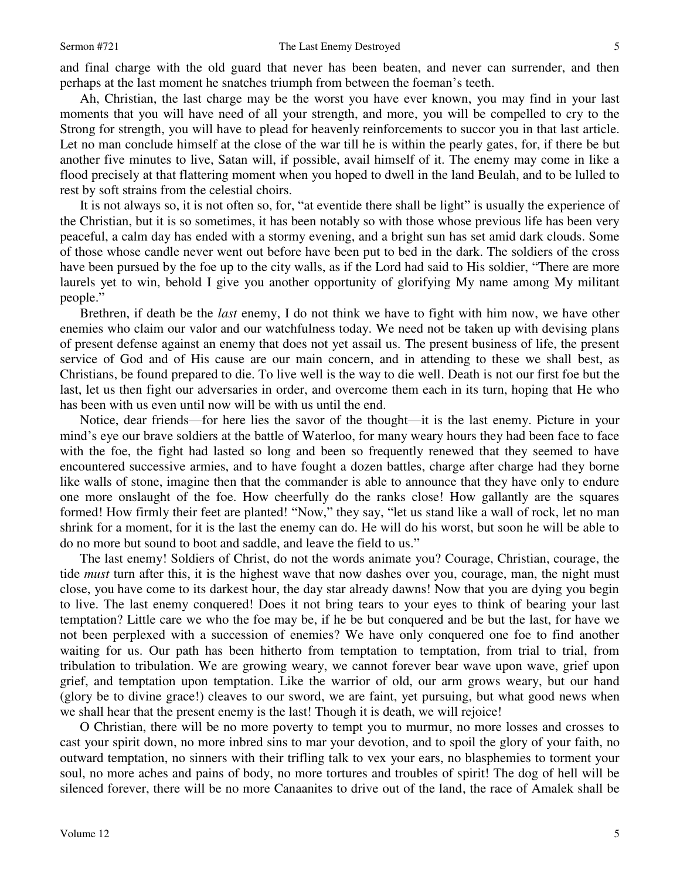and final charge with the old guard that never has been beaten, and never can surrender, and then perhaps at the last moment he snatches triumph from between the foeman's teeth.

Ah, Christian, the last charge may be the worst you have ever known, you may find in your last moments that you will have need of all your strength, and more, you will be compelled to cry to the Strong for strength, you will have to plead for heavenly reinforcements to succor you in that last article. Let no man conclude himself at the close of the war till he is within the pearly gates, for, if there be but another five minutes to live, Satan will, if possible, avail himself of it. The enemy may come in like a flood precisely at that flattering moment when you hoped to dwell in the land Beulah, and to be lulled to rest by soft strains from the celestial choirs.

It is not always so, it is not often so, for, "at eventide there shall be light" is usually the experience of the Christian, but it is so sometimes, it has been notably so with those whose previous life has been very peaceful, a calm day has ended with a stormy evening, and a bright sun has set amid dark clouds. Some of those whose candle never went out before have been put to bed in the dark. The soldiers of the cross have been pursued by the foe up to the city walls, as if the Lord had said to His soldier, "There are more laurels yet to win, behold I give you another opportunity of glorifying My name among My militant people."

Brethren, if death be the *last* enemy, I do not think we have to fight with him now, we have other enemies who claim our valor and our watchfulness today. We need not be taken up with devising plans of present defense against an enemy that does not yet assail us. The present business of life, the present service of God and of His cause are our main concern, and in attending to these we shall best, as Christians, be found prepared to die. To live well is the way to die well. Death is not our first foe but the last, let us then fight our adversaries in order, and overcome them each in its turn, hoping that He who has been with us even until now will be with us until the end.

Notice, dear friends—for here lies the savor of the thought—it is the last enemy. Picture in your mind's eye our brave soldiers at the battle of Waterloo, for many weary hours they had been face to face with the foe, the fight had lasted so long and been so frequently renewed that they seemed to have encountered successive armies, and to have fought a dozen battles, charge after charge had they borne like walls of stone, imagine then that the commander is able to announce that they have only to endure one more onslaught of the foe. How cheerfully do the ranks close! How gallantly are the squares formed! How firmly their feet are planted! "Now," they say, "let us stand like a wall of rock, let no man shrink for a moment, for it is the last the enemy can do. He will do his worst, but soon he will be able to do no more but sound to boot and saddle, and leave the field to us."

The last enemy! Soldiers of Christ, do not the words animate you? Courage, Christian, courage, the tide *must* turn after this, it is the highest wave that now dashes over you, courage, man, the night must close, you have come to its darkest hour, the day star already dawns! Now that you are dying you begin to live. The last enemy conquered! Does it not bring tears to your eyes to think of bearing your last temptation? Little care we who the foe may be, if he be but conquered and be but the last, for have we not been perplexed with a succession of enemies? We have only conquered one foe to find another waiting for us. Our path has been hitherto from temptation to temptation, from trial to trial, from tribulation to tribulation. We are growing weary, we cannot forever bear wave upon wave, grief upon grief, and temptation upon temptation. Like the warrior of old, our arm grows weary, but our hand (glory be to divine grace!) cleaves to our sword, we are faint, yet pursuing, but what good news when we shall hear that the present enemy is the last! Though it is death, we will rejoice!

O Christian, there will be no more poverty to tempt you to murmur, no more losses and crosses to cast your spirit down, no more inbred sins to mar your devotion, and to spoil the glory of your faith, no outward temptation, no sinners with their trifling talk to vex your ears, no blasphemies to torment your soul, no more aches and pains of body, no more tortures and troubles of spirit! The dog of hell will be silenced forever, there will be no more Canaanites to drive out of the land, the race of Amalek shall be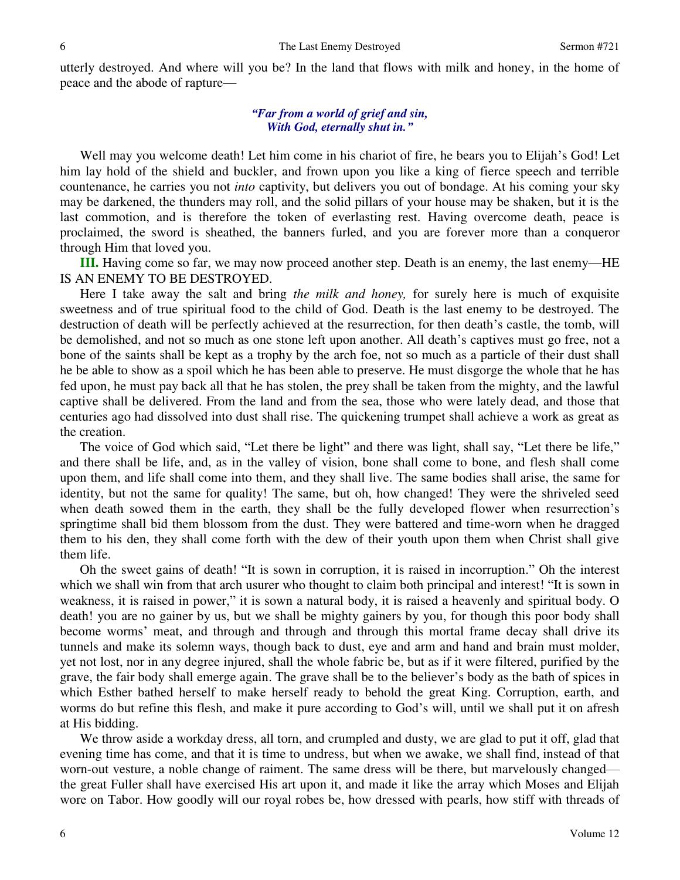utterly destroyed. And where will you be? In the land that flows with milk and honey, in the home of peace and the abode of rapture—

## *"Far from a world of grief and sin, With God, eternally shut in."*

Well may you welcome death! Let him come in his chariot of fire, he bears you to Elijah's God! Let him lay hold of the shield and buckler, and frown upon you like a king of fierce speech and terrible countenance, he carries you not *into* captivity, but delivers you out of bondage. At his coming your sky may be darkened, the thunders may roll, and the solid pillars of your house may be shaken, but it is the last commotion, and is therefore the token of everlasting rest. Having overcome death, peace is proclaimed, the sword is sheathed, the banners furled, and you are forever more than a conqueror through Him that loved you.

**III.** Having come so far, we may now proceed another step. Death is an enemy, the last enemy—HE IS AN ENEMY TO BE DESTROYED.

Here I take away the salt and bring *the milk and honey,* for surely here is much of exquisite sweetness and of true spiritual food to the child of God. Death is the last enemy to be destroyed. The destruction of death will be perfectly achieved at the resurrection, for then death's castle, the tomb, will be demolished, and not so much as one stone left upon another. All death's captives must go free, not a bone of the saints shall be kept as a trophy by the arch foe, not so much as a particle of their dust shall he be able to show as a spoil which he has been able to preserve. He must disgorge the whole that he has fed upon, he must pay back all that he has stolen, the prey shall be taken from the mighty, and the lawful captive shall be delivered. From the land and from the sea, those who were lately dead, and those that centuries ago had dissolved into dust shall rise. The quickening trumpet shall achieve a work as great as the creation.

The voice of God which said, "Let there be light" and there was light, shall say, "Let there be life," and there shall be life, and, as in the valley of vision, bone shall come to bone, and flesh shall come upon them, and life shall come into them, and they shall live. The same bodies shall arise, the same for identity, but not the same for quality! The same, but oh, how changed! They were the shriveled seed when death sowed them in the earth, they shall be the fully developed flower when resurrection's springtime shall bid them blossom from the dust. They were battered and time-worn when he dragged them to his den, they shall come forth with the dew of their youth upon them when Christ shall give them life.

Oh the sweet gains of death! "It is sown in corruption, it is raised in incorruption." Oh the interest which we shall win from that arch usurer who thought to claim both principal and interest! "It is sown in weakness, it is raised in power," it is sown a natural body, it is raised a heavenly and spiritual body. O death! you are no gainer by us, but we shall be mighty gainers by you, for though this poor body shall become worms' meat, and through and through and through this mortal frame decay shall drive its tunnels and make its solemn ways, though back to dust, eye and arm and hand and brain must molder, yet not lost, nor in any degree injured, shall the whole fabric be, but as if it were filtered, purified by the grave, the fair body shall emerge again. The grave shall be to the believer's body as the bath of spices in which Esther bathed herself to make herself ready to behold the great King. Corruption, earth, and worms do but refine this flesh, and make it pure according to God's will, until we shall put it on afresh at His bidding.

We throw aside a workday dress, all torn, and crumpled and dusty, we are glad to put it off, glad that evening time has come, and that it is time to undress, but when we awake, we shall find, instead of that worn-out vesture, a noble change of raiment. The same dress will be there, but marvelously changed the great Fuller shall have exercised His art upon it, and made it like the array which Moses and Elijah wore on Tabor. How goodly will our royal robes be, how dressed with pearls, how stiff with threads of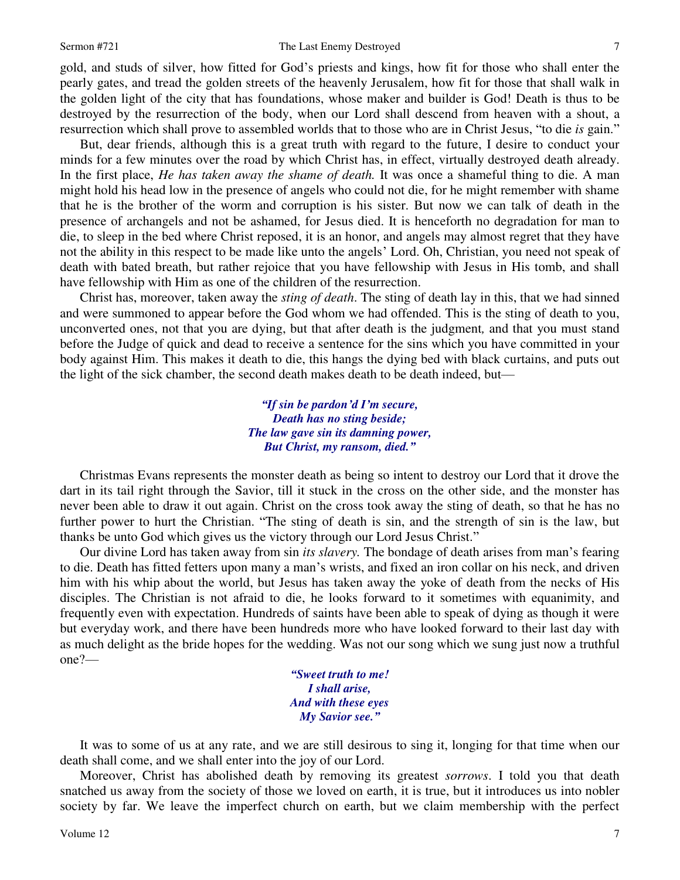### Sermon #721 The Last Enemy Destroyed

gold, and studs of silver, how fitted for God's priests and kings, how fit for those who shall enter the

pearly gates, and tread the golden streets of the heavenly Jerusalem, how fit for those that shall walk in the golden light of the city that has foundations, whose maker and builder is God! Death is thus to be destroyed by the resurrection of the body, when our Lord shall descend from heaven with a shout, a resurrection which shall prove to assembled worlds that to those who are in Christ Jesus, "to die *is* gain."

But, dear friends, although this is a great truth with regard to the future, I desire to conduct your minds for a few minutes over the road by which Christ has, in effect, virtually destroyed death already. In the first place, *He has taken away the shame of death.* It was once a shameful thing to die. A man might hold his head low in the presence of angels who could not die, for he might remember with shame that he is the brother of the worm and corruption is his sister. But now we can talk of death in the presence of archangels and not be ashamed, for Jesus died. It is henceforth no degradation for man to die, to sleep in the bed where Christ reposed, it is an honor, and angels may almost regret that they have not the ability in this respect to be made like unto the angels' Lord. Oh, Christian, you need not speak of death with bated breath, but rather rejoice that you have fellowship with Jesus in His tomb, and shall have fellowship with Him as one of the children of the resurrection.

Christ has, moreover, taken away the *sting of death*. The sting of death lay in this, that we had sinned and were summoned to appear before the God whom we had offended. This is the sting of death to you, unconverted ones, not that you are dying, but that after death is the judgment*,* and that you must stand before the Judge of quick and dead to receive a sentence for the sins which you have committed in your body against Him. This makes it death to die, this hangs the dying bed with black curtains, and puts out the light of the sick chamber, the second death makes death to be death indeed, but—

> *"If sin be pardon'd I'm secure, Death has no sting beside; The law gave sin its damning power, But Christ, my ransom, died."*

Christmas Evans represents the monster death as being so intent to destroy our Lord that it drove the dart in its tail right through the Savior, till it stuck in the cross on the other side, and the monster has never been able to draw it out again. Christ on the cross took away the sting of death, so that he has no further power to hurt the Christian. "The sting of death is sin, and the strength of sin is the law, but thanks be unto God which gives us the victory through our Lord Jesus Christ."

Our divine Lord has taken away from sin *its slavery.* The bondage of death arises from man's fearing to die. Death has fitted fetters upon many a man's wrists, and fixed an iron collar on his neck, and driven him with his whip about the world, but Jesus has taken away the yoke of death from the necks of His disciples. The Christian is not afraid to die, he looks forward to it sometimes with equanimity, and frequently even with expectation. Hundreds of saints have been able to speak of dying as though it were but everyday work, and there have been hundreds more who have looked forward to their last day with as much delight as the bride hopes for the wedding. Was not our song which we sung just now a truthful one?—

> *"Sweet truth to me! I shall arise, And with these eyes My Savior see."*

It was to some of us at any rate, and we are still desirous to sing it, longing for that time when our death shall come, and we shall enter into the joy of our Lord.

Moreover, Christ has abolished death by removing its greatest *sorrows*. I told you that death snatched us away from the society of those we loved on earth, it is true, but it introduces us into nobler society by far. We leave the imperfect church on earth, but we claim membership with the perfect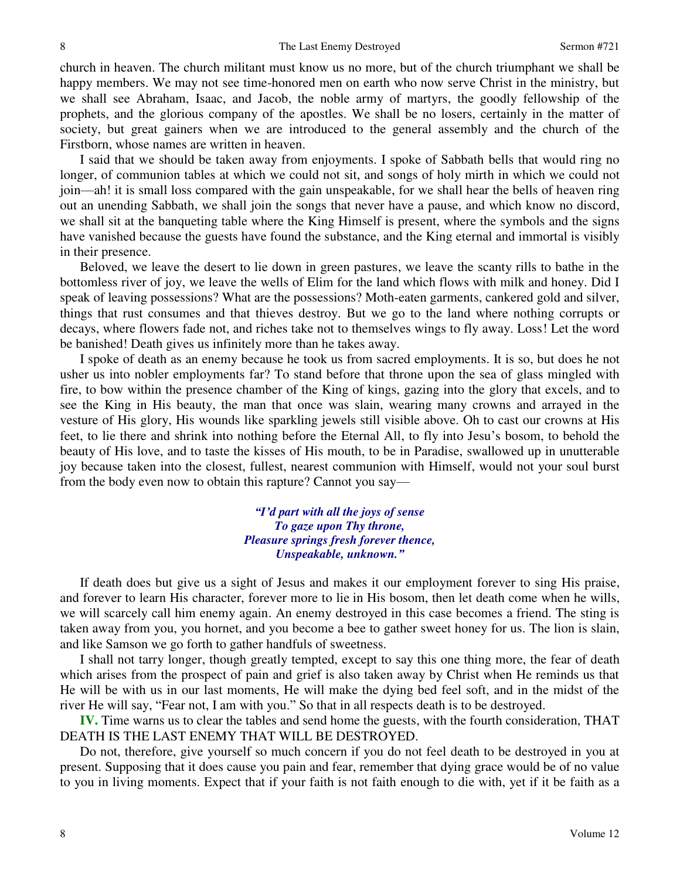church in heaven. The church militant must know us no more, but of the church triumphant we shall be happy members. We may not see time-honored men on earth who now serve Christ in the ministry, but we shall see Abraham, Isaac, and Jacob, the noble army of martyrs, the goodly fellowship of the prophets, and the glorious company of the apostles. We shall be no losers, certainly in the matter of society, but great gainers when we are introduced to the general assembly and the church of the Firstborn, whose names are written in heaven.

I said that we should be taken away from enjoyments. I spoke of Sabbath bells that would ring no longer, of communion tables at which we could not sit, and songs of holy mirth in which we could not join—ah! it is small loss compared with the gain unspeakable, for we shall hear the bells of heaven ring out an unending Sabbath, we shall join the songs that never have a pause, and which know no discord, we shall sit at the banqueting table where the King Himself is present, where the symbols and the signs have vanished because the guests have found the substance, and the King eternal and immortal is visibly in their presence.

Beloved, we leave the desert to lie down in green pastures, we leave the scanty rills to bathe in the bottomless river of joy, we leave the wells of Elim for the land which flows with milk and honey. Did I speak of leaving possessions? What are the possessions? Moth-eaten garments, cankered gold and silver, things that rust consumes and that thieves destroy. But we go to the land where nothing corrupts or decays, where flowers fade not, and riches take not to themselves wings to fly away. Loss! Let the word be banished! Death gives us infinitely more than he takes away.

I spoke of death as an enemy because he took us from sacred employments. It is so, but does he not usher us into nobler employments far? To stand before that throne upon the sea of glass mingled with fire, to bow within the presence chamber of the King of kings, gazing into the glory that excels, and to see the King in His beauty, the man that once was slain, wearing many crowns and arrayed in the vesture of His glory, His wounds like sparkling jewels still visible above. Oh to cast our crowns at His feet, to lie there and shrink into nothing before the Eternal All, to fly into Jesu's bosom, to behold the beauty of His love, and to taste the kisses of His mouth, to be in Paradise, swallowed up in unutterable joy because taken into the closest, fullest, nearest communion with Himself, would not your soul burst from the body even now to obtain this rapture? Cannot you say—

> *"I'd part with all the joys of sense To gaze upon Thy throne, Pleasure springs fresh forever thence, Unspeakable, unknown."*

If death does but give us a sight of Jesus and makes it our employment forever to sing His praise, and forever to learn His character, forever more to lie in His bosom, then let death come when he wills, we will scarcely call him enemy again. An enemy destroyed in this case becomes a friend. The sting is taken away from you, you hornet, and you become a bee to gather sweet honey for us. The lion is slain, and like Samson we go forth to gather handfuls of sweetness.

I shall not tarry longer, though greatly tempted, except to say this one thing more, the fear of death which arises from the prospect of pain and grief is also taken away by Christ when He reminds us that He will be with us in our last moments, He will make the dying bed feel soft, and in the midst of the river He will say, "Fear not, I am with you." So that in all respects death is to be destroyed.

**IV.** Time warns us to clear the tables and send home the guests, with the fourth consideration, THAT DEATH IS THE LAST ENEMY THAT WILL BE DESTROYED.

Do not, therefore, give yourself so much concern if you do not feel death to be destroyed in you at present. Supposing that it does cause you pain and fear, remember that dying grace would be of no value to you in living moments. Expect that if your faith is not faith enough to die with, yet if it be faith as a